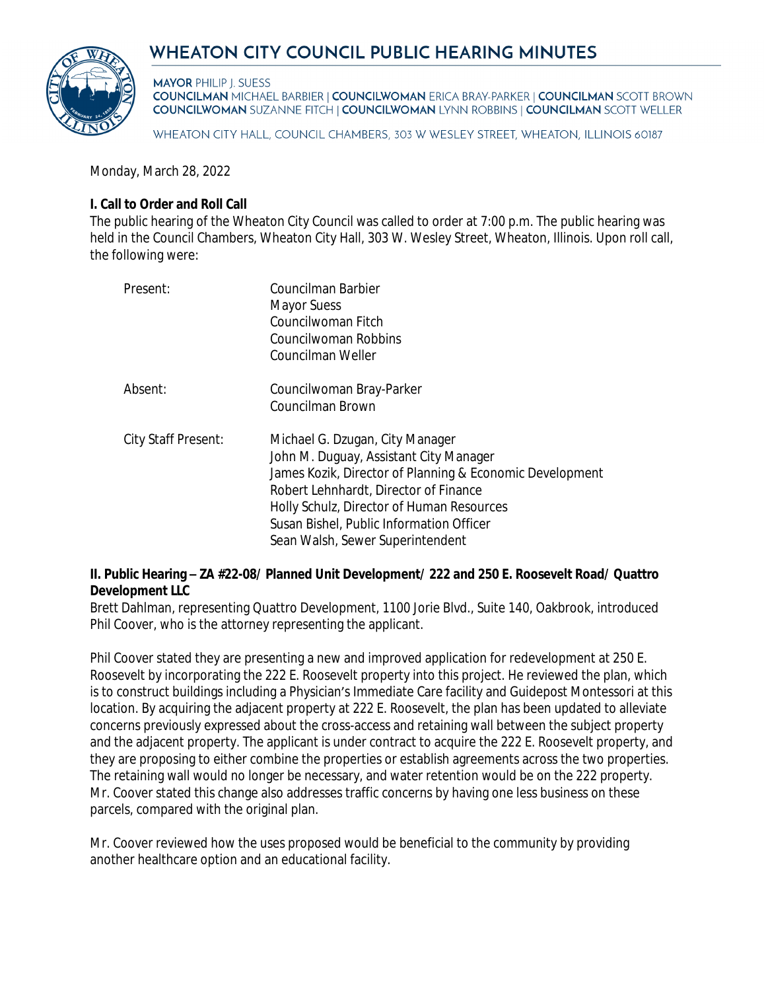# WHEATON CITY COUNCIL PUBLIC HEARING MINUTES



**MAYOR PHILIP J. SUESS** 

**COUNCILMAN MICHAEL BARBIER | COUNCILWOMAN ERICA BRAY-PARKER | COUNCILMAN SCOTT BROWN COUNCILWOMAN SUZANNE FITCH | COUNCILWOMAN LYNN ROBBINS | COUNCILMAN SCOTT WELLER** 

WHEATON CITY HALL, COUNCIL CHAMBERS, 303 W WESLEY STREET, WHEATON, ILLINOIS 60187

Monday, March 28, 2022

### **I. Call to Order and Roll Call**

The public hearing of the Wheaton City Council was called to order at 7:00 p.m. The public hearing was held in the Council Chambers, Wheaton City Hall, 303 W. Wesley Street, Wheaton, Illinois. Upon roll call, the following were:

| Present:            | Councilman Barbier<br><b>Mayor Suess</b><br>Councilwoman Fitch<br>Councilwoman Robbins<br>Councilman Weller                                                                                                                                                                                                 |
|---------------------|-------------------------------------------------------------------------------------------------------------------------------------------------------------------------------------------------------------------------------------------------------------------------------------------------------------|
| Absent:             | Councilwoman Bray-Parker<br>Councilman Brown                                                                                                                                                                                                                                                                |
| City Staff Present: | Michael G. Dzugan, City Manager<br>John M. Duguay, Assistant City Manager<br>James Kozik, Director of Planning & Economic Development<br>Robert Lehnhardt, Director of Finance<br>Holly Schulz, Director of Human Resources<br>Susan Bishel, Public Information Officer<br>Sean Walsh, Sewer Superintendent |

#### **II. Public Hearing – ZA #22-08/ Planned Unit Development/ 222 and 250 E. Roosevelt Road/ Quattro Development LLC**

Brett Dahlman, representing Quattro Development, 1100 Jorie Blvd., Suite 140, Oakbrook, introduced Phil Coover, who is the attorney representing the applicant.

Phil Coover stated they are presenting a new and improved application for redevelopment at 250 E. Roosevelt by incorporating the 222 E. Roosevelt property into this project. He reviewed the plan, which is to construct buildings including a Physician's Immediate Care facility and Guidepost Montessori at this location. By acquiring the adjacent property at 222 E. Roosevelt, the plan has been updated to alleviate concerns previously expressed about the cross-access and retaining wall between the subject property and the adjacent property. The applicant is under contract to acquire the 222 E. Roosevelt property, and they are proposing to either combine the properties or establish agreements across the two properties. The retaining wall would no longer be necessary, and water retention would be on the 222 property. Mr. Coover stated this change also addresses traffic concerns by having one less business on these parcels, compared with the original plan.

Mr. Coover reviewed how the uses proposed would be beneficial to the community by providing another healthcare option and an educational facility.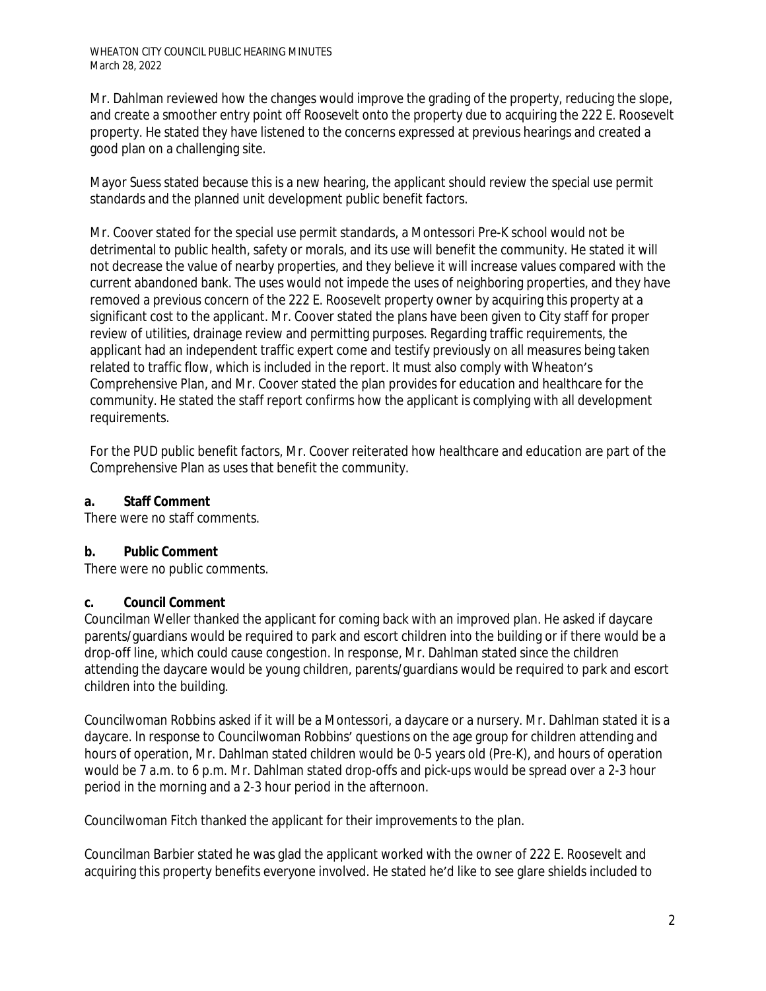Mr. Dahlman reviewed how the changes would improve the grading of the property, reducing the slope, and create a smoother entry point off Roosevelt onto the property due to acquiring the 222 E. Roosevelt property. He stated they have listened to the concerns expressed at previous hearings and created a good plan on a challenging site.

Mayor Suess stated because this is a new hearing, the applicant should review the special use permit standards and the planned unit development public benefit factors.

Mr. Coover stated for the special use permit standards, a Montessori Pre-K school would not be detrimental to public health, safety or morals, and its use will benefit the community. He stated it will not decrease the value of nearby properties, and they believe it will increase values compared with the current abandoned bank. The uses would not impede the uses of neighboring properties, and they have removed a previous concern of the 222 E. Roosevelt property owner by acquiring this property at a significant cost to the applicant. Mr. Coover stated the plans have been given to City staff for proper review of utilities, drainage review and permitting purposes. Regarding traffic requirements, the applicant had an independent traffic expert come and testify previously on all measures being taken related to traffic flow, which is included in the report. It must also comply with Wheaton's Comprehensive Plan, and Mr. Coover stated the plan provides for education and healthcare for the community. He stated the staff report confirms how the applicant is complying with all development requirements.

For the PUD public benefit factors, Mr. Coover reiterated how healthcare and education are part of the Comprehensive Plan as uses that benefit the community.

## **a. Staff Comment**

There were no staff comments.

## **b. Public Comment**

There were no public comments.

## **c. Council Comment**

Councilman Weller thanked the applicant for coming back with an improved plan. He asked if daycare parents/guardians would be required to park and escort children into the building or if there would be a drop-off line, which could cause congestion. In response, Mr. Dahlman stated since the children attending the daycare would be young children, parents/guardians would be required to park and escort children into the building.

Councilwoman Robbins asked if it will be a Montessori, a daycare or a nursery. Mr. Dahlman stated it is a daycare. In response to Councilwoman Robbins' questions on the age group for children attending and hours of operation, Mr. Dahlman stated children would be 0-5 years old (Pre-K), and hours of operation would be 7 a.m. to 6 p.m. Mr. Dahlman stated drop-offs and pick-ups would be spread over a 2-3 hour period in the morning and a 2-3 hour period in the afternoon.

Councilwoman Fitch thanked the applicant for their improvements to the plan.

Councilman Barbier stated he was glad the applicant worked with the owner of 222 E. Roosevelt and acquiring this property benefits everyone involved. He stated he'd like to see glare shields included to